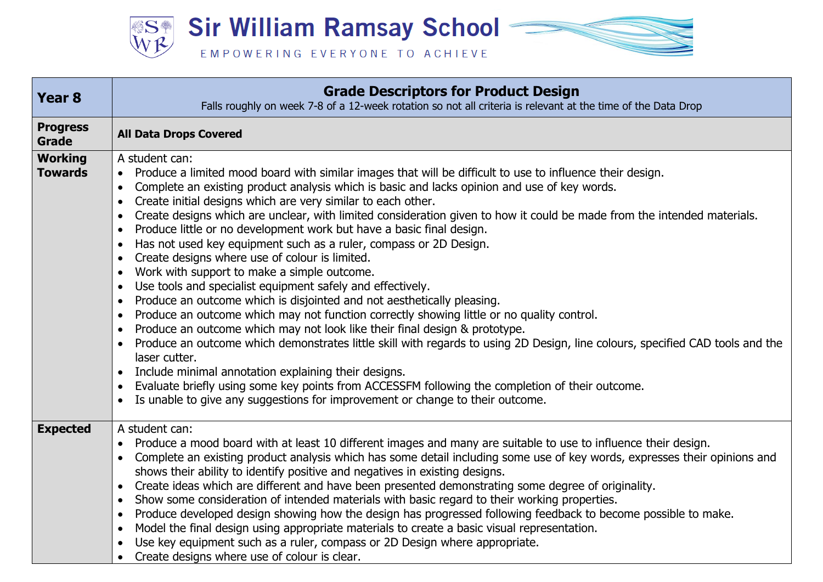

| <b>Year 8</b>                    | <b>Grade Descriptors for Product Design</b><br>Falls roughly on week 7-8 of a 12-week rotation so not all criteria is relevant at the time of the Data Drop                                                                                                                                                                                                                                                                                                                                                                                                                                                                                                                                                                                                                                                                                                                                                                                                                                                                                                                                                                                                                                                                                                                                                                                                                                                                    |
|----------------------------------|--------------------------------------------------------------------------------------------------------------------------------------------------------------------------------------------------------------------------------------------------------------------------------------------------------------------------------------------------------------------------------------------------------------------------------------------------------------------------------------------------------------------------------------------------------------------------------------------------------------------------------------------------------------------------------------------------------------------------------------------------------------------------------------------------------------------------------------------------------------------------------------------------------------------------------------------------------------------------------------------------------------------------------------------------------------------------------------------------------------------------------------------------------------------------------------------------------------------------------------------------------------------------------------------------------------------------------------------------------------------------------------------------------------------------------|
| <b>Progress</b><br><b>Grade</b>  | <b>All Data Drops Covered</b>                                                                                                                                                                                                                                                                                                                                                                                                                                                                                                                                                                                                                                                                                                                                                                                                                                                                                                                                                                                                                                                                                                                                                                                                                                                                                                                                                                                                  |
| <b>Working</b><br><b>Towards</b> | A student can:<br>• Produce a limited mood board with similar images that will be difficult to use to influence their design.<br>Complete an existing product analysis which is basic and lacks opinion and use of key words.<br>Create initial designs which are very similar to each other.<br>Create designs which are unclear, with limited consideration given to how it could be made from the intended materials.<br>Produce little or no development work but have a basic final design.<br>Has not used key equipment such as a ruler, compass or 2D Design.<br>Create designs where use of colour is limited.<br>Work with support to make a simple outcome.<br>Use tools and specialist equipment safely and effectively.<br>Produce an outcome which is disjointed and not aesthetically pleasing.<br>Produce an outcome which may not function correctly showing little or no quality control.<br>$\bullet$<br>Produce an outcome which may not look like their final design & prototype.<br>Produce an outcome which demonstrates little skill with regards to using 2D Design, line colours, specified CAD tools and the<br>laser cutter.<br>Include minimal annotation explaining their designs.<br>$\bullet$<br>Evaluate briefly using some key points from ACCESSFM following the completion of their outcome.<br>$\bullet$<br>Is unable to give any suggestions for improvement or change to their outcome. |
| <b>Expected</b>                  | A student can:<br>Produce a mood board with at least 10 different images and many are suitable to use to influence their design.<br>Complete an existing product analysis which has some detail including some use of key words, expresses their opinions and<br>$\bullet$<br>shows their ability to identify positive and negatives in existing designs.<br>Create ideas which are different and have been presented demonstrating some degree of originality.<br>$\bullet$<br>Show some consideration of intended materials with basic regard to their working properties.<br>Produce developed design showing how the design has progressed following feedback to become possible to make.<br>$\bullet$<br>Model the final design using appropriate materials to create a basic visual representation.<br>$\bullet$<br>Use key equipment such as a ruler, compass or 2D Design where appropriate.<br>Create designs where use of colour is clear.                                                                                                                                                                                                                                                                                                                                                                                                                                                                           |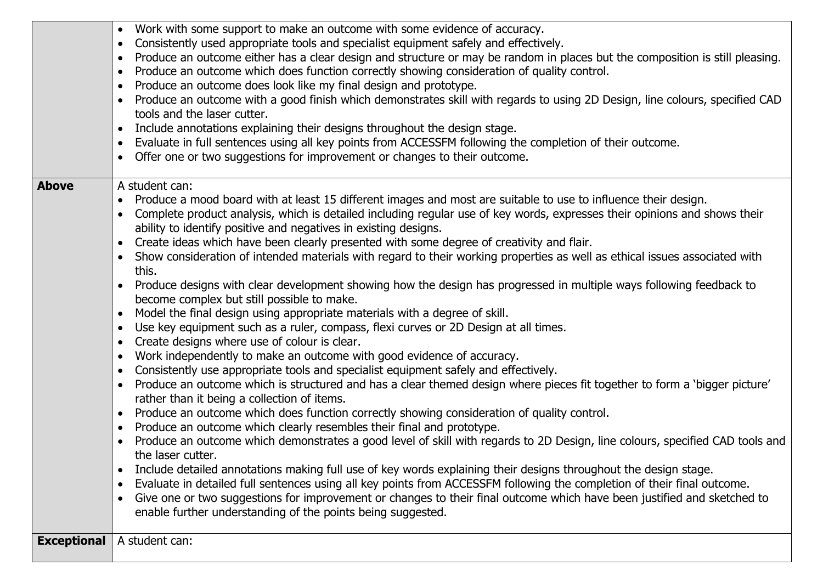|                    | Work with some support to make an outcome with some evidence of accuracy.<br>$\bullet$<br>Consistently used appropriate tools and specialist equipment safely and effectively.<br>$\bullet$<br>Produce an outcome either has a clear design and structure or may be random in places but the composition is still pleasing.<br>$\bullet$<br>Produce an outcome which does function correctly showing consideration of quality control.<br>$\bullet$<br>Produce an outcome does look like my final design and prototype.<br>$\bullet$<br>Produce an outcome with a good finish which demonstrates skill with regards to using 2D Design, line colours, specified CAD<br>$\bullet$<br>tools and the laser cutter.<br>Include annotations explaining their designs throughout the design stage.<br>$\bullet$<br>Evaluate in full sentences using all key points from ACCESSFM following the completion of their outcome.<br>$\bullet$<br>Offer one or two suggestions for improvement or changes to their outcome.<br>$\bullet$                                                                                                                                                                                                                                                                                                                                                                                                                                                                                                                                                                                                                                                                                                                                                                                                                                                                                                                                                                                                                                                                                                                                                                                                                                        |
|--------------------|---------------------------------------------------------------------------------------------------------------------------------------------------------------------------------------------------------------------------------------------------------------------------------------------------------------------------------------------------------------------------------------------------------------------------------------------------------------------------------------------------------------------------------------------------------------------------------------------------------------------------------------------------------------------------------------------------------------------------------------------------------------------------------------------------------------------------------------------------------------------------------------------------------------------------------------------------------------------------------------------------------------------------------------------------------------------------------------------------------------------------------------------------------------------------------------------------------------------------------------------------------------------------------------------------------------------------------------------------------------------------------------------------------------------------------------------------------------------------------------------------------------------------------------------------------------------------------------------------------------------------------------------------------------------------------------------------------------------------------------------------------------------------------------------------------------------------------------------------------------------------------------------------------------------------------------------------------------------------------------------------------------------------------------------------------------------------------------------------------------------------------------------------------------------------------------------------------------------------------------------------------------------|
| <b>Above</b>       | A student can:<br>Produce a mood board with at least 15 different images and most are suitable to use to influence their design.<br>$\bullet$<br>Complete product analysis, which is detailed including regular use of key words, expresses their opinions and shows their<br>$\bullet$<br>ability to identify positive and negatives in existing designs.<br>Create ideas which have been clearly presented with some degree of creativity and flair.<br>$\bullet$<br>Show consideration of intended materials with regard to their working properties as well as ethical issues associated with<br>this.<br>Produce designs with clear development showing how the design has progressed in multiple ways following feedback to<br>become complex but still possible to make.<br>Model the final design using appropriate materials with a degree of skill.<br>$\bullet$<br>Use key equipment such as a ruler, compass, flexi curves or 2D Design at all times.<br>$\bullet$<br>Create designs where use of colour is clear.<br>$\bullet$<br>Work independently to make an outcome with good evidence of accuracy.<br>$\bullet$<br>Consistently use appropriate tools and specialist equipment safely and effectively.<br>$\bullet$<br>Produce an outcome which is structured and has a clear themed design where pieces fit together to form a 'bigger picture'<br>$\bullet$<br>rather than it being a collection of items.<br>Produce an outcome which does function correctly showing consideration of quality control.<br>$\bullet$<br>Produce an outcome which clearly resembles their final and prototype.<br>$\bullet$<br>Produce an outcome which demonstrates a good level of skill with regards to 2D Design, line colours, specified CAD tools and<br>the laser cutter.<br>Include detailed annotations making full use of key words explaining their designs throughout the design stage.<br>$\bullet$<br>Evaluate in detailed full sentences using all key points from ACCESSFM following the completion of their final outcome.<br>$\bullet$<br>Give one or two suggestions for improvement or changes to their final outcome which have been justified and sketched to<br>$\bullet$<br>enable further understanding of the points being suggested. |
| <b>Exceptional</b> | A student can:                                                                                                                                                                                                                                                                                                                                                                                                                                                                                                                                                                                                                                                                                                                                                                                                                                                                                                                                                                                                                                                                                                                                                                                                                                                                                                                                                                                                                                                                                                                                                                                                                                                                                                                                                                                                                                                                                                                                                                                                                                                                                                                                                                                                                                                      |